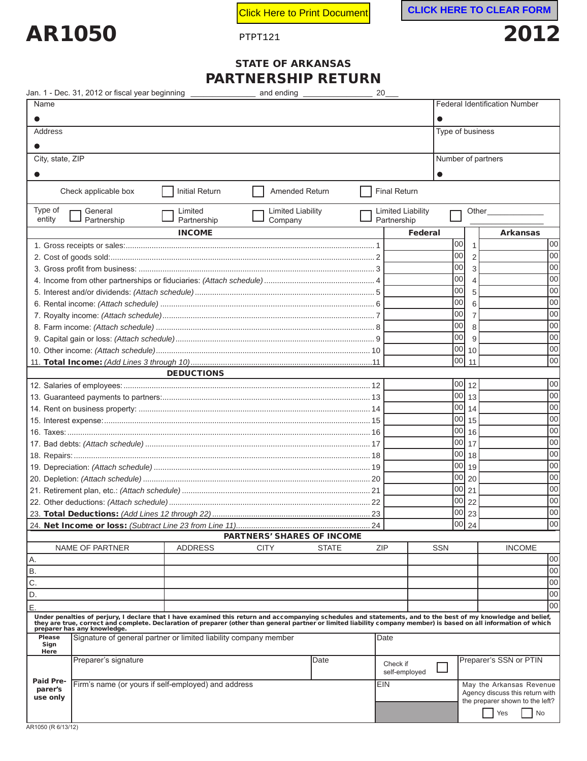

**PHPTLICK COVER THERE TO CLEAR FORM** 

## STATE OF ARKANSAS **DTNICDCLIID DETIIDNI**

|                                                                             | Jan. 1 - Dec. 31, 2012 or fiscal year beginning _________________                                                                                                                                                                                                |                        | PARTINERSHIP RETURN<br>and ending |                          | 20  |                                         |            |                    |                    |                                                                    |     |
|-----------------------------------------------------------------------------|------------------------------------------------------------------------------------------------------------------------------------------------------------------------------------------------------------------------------------------------------------------|------------------------|-----------------------------------|--------------------------|-----|-----------------------------------------|------------|--------------------|--------------------|--------------------------------------------------------------------|-----|
| Name                                                                        |                                                                                                                                                                                                                                                                  |                        |                                   |                          |     |                                         |            |                    |                    | <b>Federal Identification Number</b>                               |     |
| 0                                                                           |                                                                                                                                                                                                                                                                  |                        |                                   |                          |     |                                         |            |                    |                    |                                                                    |     |
| Address                                                                     |                                                                                                                                                                                                                                                                  |                        |                                   |                          |     |                                         |            |                    | Type of business   |                                                                    |     |
|                                                                             |                                                                                                                                                                                                                                                                  |                        |                                   |                          |     |                                         |            |                    |                    |                                                                    |     |
| City, state, ZIP                                                            |                                                                                                                                                                                                                                                                  |                        |                                   |                          |     |                                         |            |                    | Number of partners |                                                                    |     |
|                                                                             |                                                                                                                                                                                                                                                                  |                        |                                   |                          |     |                                         |            |                    |                    |                                                                    |     |
|                                                                             |                                                                                                                                                                                                                                                                  |                        |                                   |                          |     |                                         |            |                    |                    |                                                                    |     |
|                                                                             | Check applicable box                                                                                                                                                                                                                                             | <b>Initial Return</b>  |                                   | Amended Return           |     | <b>Final Return</b>                     |            |                    |                    |                                                                    |     |
| Type of<br>entity                                                           | General<br>Partnership                                                                                                                                                                                                                                           | Limited<br>Partnership | Company                           | <b>Limited Liability</b> |     | <b>Limited Liability</b><br>Partnership |            |                    | Other              |                                                                    |     |
|                                                                             |                                                                                                                                                                                                                                                                  | <b>INCOME</b>          |                                   |                          |     |                                         | Federal    |                    |                    | <b>Arkansas</b>                                                    |     |
|                                                                             |                                                                                                                                                                                                                                                                  |                        |                                   |                          |     |                                         |            | 00                 | $\mathbf{1}$       |                                                                    | 00  |
|                                                                             |                                                                                                                                                                                                                                                                  |                        |                                   |                          |     |                                         |            | 00                 | 2                  |                                                                    | 00  |
|                                                                             |                                                                                                                                                                                                                                                                  |                        |                                   |                          |     |                                         |            | 00                 | 3                  |                                                                    | 00  |
|                                                                             |                                                                                                                                                                                                                                                                  |                        |                                   |                          |     |                                         |            | 00                 | $\overline{4}$     |                                                                    | 00  |
|                                                                             |                                                                                                                                                                                                                                                                  |                        |                                   |                          |     |                                         |            | 00                 | 5                  |                                                                    | 00  |
|                                                                             |                                                                                                                                                                                                                                                                  |                        |                                   |                          |     |                                         |            | 00                 | 6                  |                                                                    | 00  |
|                                                                             |                                                                                                                                                                                                                                                                  |                        |                                   |                          |     |                                         |            | 00                 | 7                  |                                                                    | 00  |
|                                                                             |                                                                                                                                                                                                                                                                  |                        |                                   |                          |     |                                         |            | 00                 | 8                  |                                                                    | 00  |
|                                                                             |                                                                                                                                                                                                                                                                  |                        |                                   |                          |     |                                         |            | 00                 | 9                  |                                                                    | 00  |
|                                                                             |                                                                                                                                                                                                                                                                  |                        |                                   |                          |     |                                         |            | 00                 | 10                 |                                                                    | 00  |
|                                                                             |                                                                                                                                                                                                                                                                  |                        |                                   |                          |     |                                         |            | 00                 | 11                 |                                                                    | 00  |
|                                                                             |                                                                                                                                                                                                                                                                  | <b>DEDUCTIONS</b>      |                                   |                          |     |                                         |            |                    |                    |                                                                    |     |
|                                                                             |                                                                                                                                                                                                                                                                  |                        |                                   |                          |     |                                         |            | $\overline{00}$ 12 |                    |                                                                    | 00  |
|                                                                             |                                                                                                                                                                                                                                                                  |                        |                                   |                          |     |                                         |            | 00                 | l 13               |                                                                    | 00  |
|                                                                             |                                                                                                                                                                                                                                                                  |                        |                                   |                          |     |                                         |            | 00                 | 14                 |                                                                    | 00  |
|                                                                             |                                                                                                                                                                                                                                                                  |                        |                                   |                          |     |                                         |            | 00                 | 15                 |                                                                    | 00  |
|                                                                             |                                                                                                                                                                                                                                                                  |                        |                                   |                          |     |                                         |            | 00                 | 16                 |                                                                    | 00  |
|                                                                             |                                                                                                                                                                                                                                                                  |                        |                                   |                          |     |                                         |            | 00                 | 17                 |                                                                    | 00  |
|                                                                             |                                                                                                                                                                                                                                                                  |                        |                                   |                          |     |                                         |            | 00                 | 18                 |                                                                    | 00  |
|                                                                             |                                                                                                                                                                                                                                                                  |                        |                                   |                          |     |                                         |            | 00                 | 19                 |                                                                    | 00  |
|                                                                             |                                                                                                                                                                                                                                                                  |                        |                                   |                          |     |                                         |            | 00                 | 20                 |                                                                    | 00  |
|                                                                             |                                                                                                                                                                                                                                                                  |                        |                                   |                          |     |                                         |            | 00                 | 21                 |                                                                    | 00  |
|                                                                             |                                                                                                                                                                                                                                                                  |                        |                                   |                          |     |                                         |            | 00                 | 22                 |                                                                    | 00  |
|                                                                             | 23. Total Deductions: (Add Lines 12 through 22)                                                                                                                                                                                                                  |                        |                                   |                          | 23  |                                         |            | lool               | 23                 |                                                                    | loo |
|                                                                             |                                                                                                                                                                                                                                                                  |                        |                                   |                          | 24  |                                         |            | 00                 | 24                 |                                                                    | loo |
|                                                                             |                                                                                                                                                                                                                                                                  |                        | <b>PARTNERS' SHARES OF INCOME</b> |                          |     |                                         |            |                    |                    |                                                                    |     |
| Α.                                                                          | NAME OF PARTNER                                                                                                                                                                                                                                                  | <b>ADDRESS</b>         | <b>CITY</b>                       | <b>STATE</b>             | ZIP |                                         | <b>SSN</b> |                    |                    | <b>INCOME</b>                                                      | 00  |
| $\overline{B}$                                                              |                                                                                                                                                                                                                                                                  |                        |                                   |                          |     |                                         |            |                    |                    |                                                                    | 00  |
| $\overline{C}$ .                                                            |                                                                                                                                                                                                                                                                  |                        |                                   |                          |     |                                         |            |                    |                    |                                                                    | 00  |
| $\overline{D}$ .                                                            |                                                                                                                                                                                                                                                                  |                        |                                   |                          |     |                                         |            |                    |                    |                                                                    | 00  |
| E.                                                                          |                                                                                                                                                                                                                                                                  |                        |                                   |                          |     |                                         |            |                    |                    |                                                                    | 00  |
|                                                                             |                                                                                                                                                                                                                                                                  |                        |                                   |                          |     |                                         |            |                    |                    |                                                                    |     |
|                                                                             | Under penalties of perjury, I declare that I have examined this return and accompanying schedules and statements, and to the best of my knowledge and belief,<br>they are true, correct and complete. Declaration of preparer (ot<br>preparer has any knowledge. |                        |                                   |                          |     |                                         |            |                    |                    |                                                                    |     |
| <b>Please</b>                                                               | Signature of general partner or limited liability company member                                                                                                                                                                                                 |                        |                                   |                          |     | Date                                    |            |                    |                    |                                                                    |     |
| Sign<br>Here                                                                |                                                                                                                                                                                                                                                                  |                        |                                   |                          |     |                                         |            |                    |                    |                                                                    |     |
|                                                                             | Preparer's signature                                                                                                                                                                                                                                             |                        |                                   | Date                     |     | Check if                                |            |                    |                    | Preparer's SSN or PTIN                                             |     |
|                                                                             |                                                                                                                                                                                                                                                                  |                        |                                   |                          |     | self-employed                           |            |                    |                    |                                                                    |     |
| Paid Pre-<br>Firm's name (or yours if self-employed) and address<br>parer's |                                                                                                                                                                                                                                                                  |                        |                                   |                          | EIN |                                         |            |                    |                    | May the Arkansas Revenue                                           |     |
| use only                                                                    |                                                                                                                                                                                                                                                                  |                        |                                   |                          |     |                                         |            |                    |                    | Agency discuss this return with<br>the preparer shown to the left? |     |
|                                                                             |                                                                                                                                                                                                                                                                  |                        |                                   |                          |     |                                         |            |                    |                    | Yes<br>No                                                          |     |
|                                                                             |                                                                                                                                                                                                                                                                  |                        |                                   |                          |     |                                         |            |                    |                    |                                                                    |     |